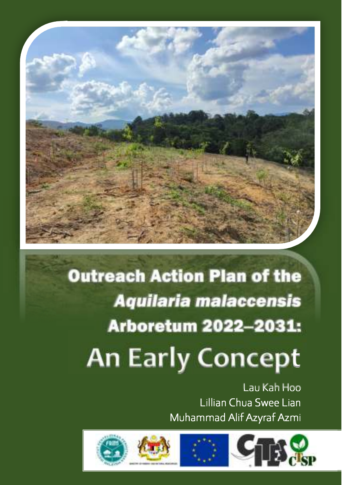

# Outreach Action Plan of the *Aquilaria malaccensis* Arboretum 2022-2031:

# **An Early Concept**

Lau Kah Hoo Lillian Chua Swee Lian Muhammad Alif Azyraf Azmi

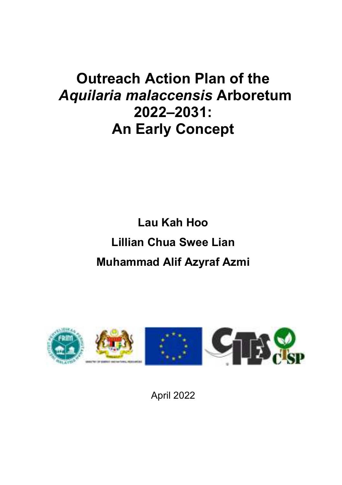## **Outreach Action Plan of the**  *Aquilaria malaccensis* **Arboretum 2022‒2031: An Early Concept**

## **Lau Kah Hoo Lillian Chua Swee Lian Muhammad Alif Azyraf Azmi**



April 2022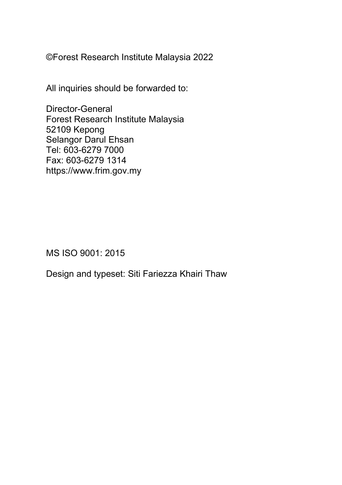©Forest Research Institute Malaysia 2022

All inquiries should be forwarded to:

Director-General Forest Research Institute Malaysia 52109 Kepong Selangor Darul Ehsan Tel: 603-6279 7000 Fax: 603-6279 1314 https://www.frim.gov.my

MS ISO 9001: 2015

Design and typeset: Siti Fariezza Khairi Thaw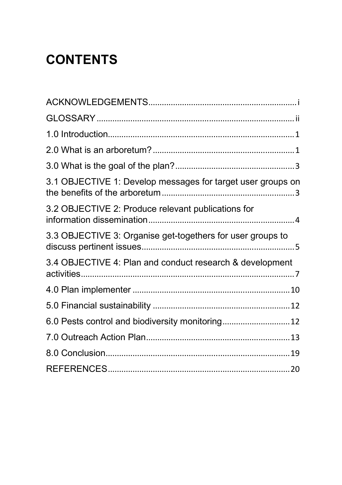## **CONTENTS**

| 3.1 OBJECTIVE 1: Develop messages for target user groups on |
|-------------------------------------------------------------|
| 3.2 OBJECTIVE 2: Produce relevant publications for          |
| 3.3 OBJECTIVE 3: Organise get-togethers for user groups to  |
| 3.4 OBJECTIVE 4: Plan and conduct research & development    |
|                                                             |
|                                                             |
| 6.0 Pests control and biodiversity monitoring 12            |
|                                                             |
|                                                             |
|                                                             |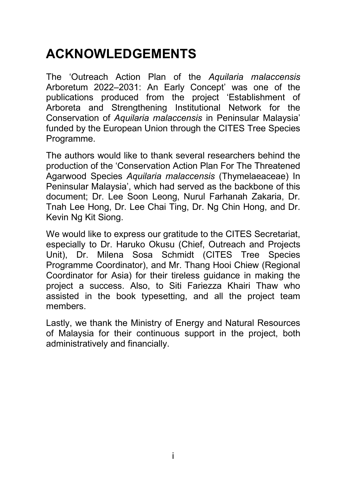### **ACKNOWLEDGEMENTS**

The 'Outreach Action Plan of the *Aquilaria malaccensis* Arboretum 2022–2031: An Early Concept' was one of the publications produced from the project 'Establishment of Arboreta and Strengthening Institutional Network for the Conservation of *Aquilaria malaccensis* in Peninsular Malaysia' funded by the European Union through the CITES Tree Species Programme.

The authors would like to thank several researchers behind the production of the 'Conservation Action Plan For The Threatened Agarwood Species *Aquilaria malaccensis* (Thymelaeaceae) In Peninsular Malaysia', which had served as the backbone of this document; Dr. Lee Soon Leong, Nurul Farhanah Zakaria, Dr. Tnah Lee Hong, Dr. Lee Chai Ting, Dr. Ng Chin Hong, and Dr. Kevin Ng Kit Siong.

We would like to express our gratitude to the CITES Secretariat, especially to Dr. Haruko Okusu (Chief, Outreach and Projects Unit), Dr. Milena Sosa Schmidt (CITES Tree Species Programme Coordinator), and Mr. Thang Hooi Chiew (Regional Coordinator for Asia) for their tireless guidance in making the project a success. Also, to Siti Fariezza Khairi Thaw who assisted in the book typesetting, and all the project team members.

Lastly, we thank the Ministry of Energy and Natural Resources of Malaysia for their continuous support in the project, both administratively and financially.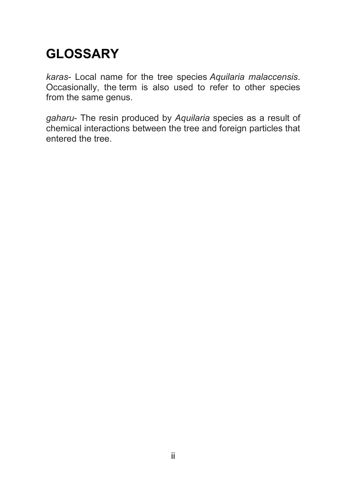## **GLOSSARY**

*karas*- Local name for the tree species *Aquilaria malaccensis*. Occasionally, the term is also used to refer to other species from the same genus.

*gaharu*- The resin produced by *Aquilaria* species as a result of chemical interactions between the tree and foreign particles that entered the tree.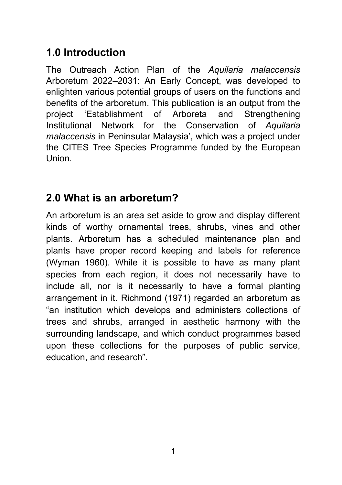#### **1.0 Introduction**

The Outreach Action Plan of the *Aquilaria malaccensis* Arboretum 2022‒2031: An Early Concept, was developed to enlighten various potential groups of users on the functions and benefits of the arboretum. This publication is an output from the project 'Establishment of Arboreta and Strengthening Institutional Network for the Conservation of *Aquilaria malaccensis* in Peninsular Malaysia', which was a project under the CITES Tree Species Programme funded by the European Union.

#### **2.0 What is an arboretum?**

An arboretum is an area set aside to grow and display different kinds of worthy ornamental trees, shrubs, vines and other plants. Arboretum has a scheduled maintenance plan and plants have proper record keeping and labels for reference (Wyman 1960). While it is possible to have as many plant species from each region, it does not necessarily have to include all, nor is it necessarily to have a formal planting arrangement in it. Richmond (1971) regarded an arboretum as "an institution which develops and administers collections of trees and shrubs, arranged in aesthetic harmony with the surrounding landscape, and which conduct programmes based upon these collections for the purposes of public service, education, and research".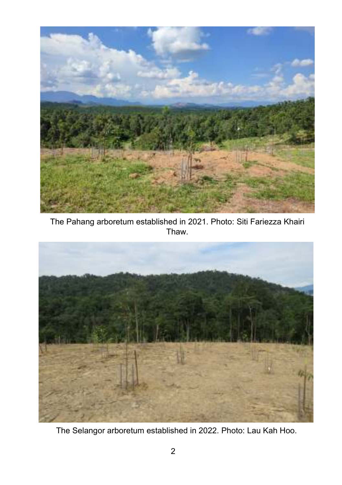

The Pahang arboretum established in 2021. Photo: Siti Fariezza Khairi Thaw.



The Selangor arboretum established in 2022. Photo: Lau Kah Hoo.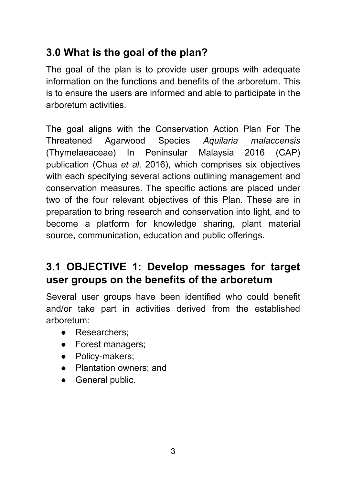### **3.0 What is the goal of the plan?**

The goal of the plan is to provide user groups with adequate information on the functions and benefits of the arboretum. This is to ensure the users are informed and able to participate in the arboretum activities.

The goal aligns with the Conservation Action Plan For The Threatened Agarwood Species *Aquilaria malaccensis* (Thymelaeaceae) In Peninsular Malaysia 2016 (CAP) publication (Chua *et al.* 2016), which comprises six objectives with each specifying several actions outlining management and conservation measures. The specific actions are placed under two of the four relevant objectives of this Plan. These are in preparation to bring research and conservation into light, and to become a platform for knowledge sharing, plant material source, communication, education and public offerings.

#### **3.1 OBJECTIVE 1: Develop messages for target user groups on the benefits of the arboretum**

Several user groups have been identified who could benefit and/or take part in activities derived from the established arboretum:

- Researchers;
- Forest managers;
- Policy-makers;
- Plantation owners: and
- General public.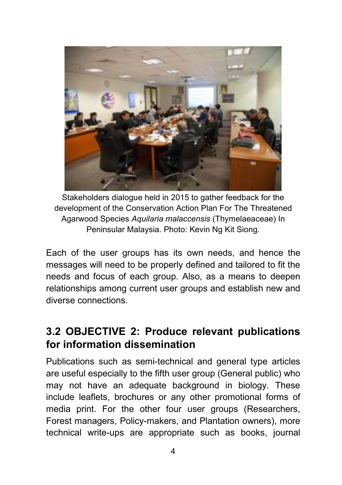

Stakeholders dialogue held in 2015 to gather feedback for the development of the Conservation Action Plan For The Threatened Agarwood Species *Aquilaria malaccensis* (Thymelaeaceae) In Peninsular Malaysia. Photo: Kevin Ng Kit Siong.

Each of the user groups has its own needs, and hence the messages will need to be properly defined and tailored to fit the needs and focus of each group. Also, as a means to deepen relationships among current user groups and establish new and diverse connections.

#### **3.2 OBJECTIVE 2: Produce relevant publications for information dissemination**

Publications such as semi-technical and general type articles are useful especially to the fifth user group (General public) who may not have an adequate background in biology. These include leaflets, brochures or any other promotional forms of media print. For the other four user groups (Researchers, Forest managers, Policy-makers, and Plantation owners), more technical write-ups are appropriate such as books, journal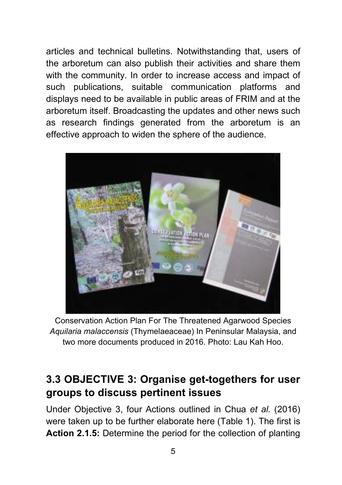articles and technical bulletins. Notwithstanding that, users of the arboretum can also publish their activities and share them with the community. In order to increase access and impact of such publications, suitable communication platforms and displays need to be available in public areas of FRIM and at the arboretum itself. Broadcasting the updates and other news such as research findings generated from the arboretum is an effective approach to widen the sphere of the audience.



Conservation Action Plan For The Threatened Agarwood Species *Aquilaria malaccensis* (Thymelaeaceae) In Peninsular Malaysia, and two more documents produced in 2016. Photo: Lau Kah Hoo.

#### **3.3 OBJECTIVE 3: Organise get-togethers for user groups to discuss pertinent issues**

Under Objective 3, four Actions outlined in Chua *et al.* (2016) were taken up to be further elaborate here (Table 1). The first is **Action 2.1.5:** Determine the period for the collection of planting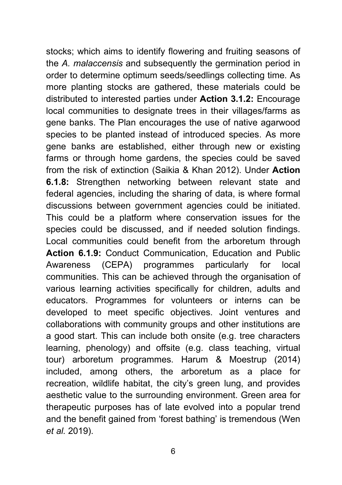stocks; which aims to identify flowering and fruiting seasons of the *A. malaccensis* and subsequently the germination period in order to determine optimum seeds/seedlings collecting time. As more planting stocks are gathered, these materials could be distributed to interested parties under **Action 3.1.2:** Encourage local communities to designate trees in their villages/farms as gene banks. The Plan encourages the use of native agarwood species to be planted instead of introduced species. As more gene banks are established, either through new or existing farms or through home gardens, the species could be saved from the risk of extinction (Saikia & Khan 2012). Under **Action 6.1.8:** Strengthen networking between relevant state and federal agencies, including the sharing of data, is where formal discussions between government agencies could be initiated. This could be a platform where conservation issues for the species could be discussed, and if needed solution findings. Local communities could benefit from the arboretum through **Action 6.1.9:** Conduct Communication, Education and Public Awareness (CEPA) programmes particularly for local communities. This can be achieved through the organisation of various learning activities specifically for children, adults and educators. Programmes for volunteers or interns can be developed to meet specific objectives. Joint ventures and collaborations with community groups and other institutions are a good start. This can include both onsite (e.g. tree characters learning, phenology) and offsite (e.g. class teaching, virtual tour) arboretum programmes. Harum & Moestrup (2014) included, among others, the arboretum as a place for recreation, wildlife habitat, the city's green lung, and provides aesthetic value to the surrounding environment. Green area for therapeutic purposes has of late evolved into a popular trend and the benefit gained from 'forest bathing' is tremendous (Wen *et al.* 2019).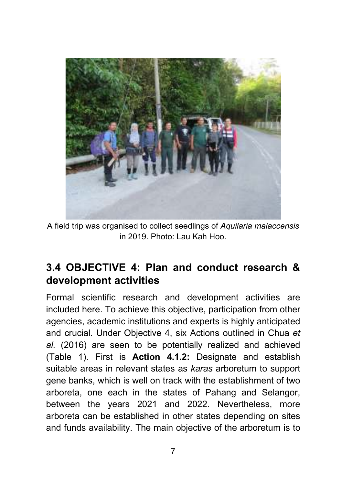

A field trip was organised to collect seedlings of *Aquilaria malaccensis* in 2019. Photo: Lau Kah Hoo.

#### **3.4 OBJECTIVE 4: Plan and conduct research & development activities**

Formal scientific research and development activities are included here. To achieve this objective, participation from other agencies, academic institutions and experts is highly anticipated and crucial. Under Objective 4, six Actions outlined in Chua *et al.* (2016) are seen to be potentially realized and achieved (Table 1). First is **Action 4.1.2:** Designate and establish suitable areas in relevant states as *karas* arboretum to support gene banks, which is well on track with the establishment of two arboreta, one each in the states of Pahang and Selangor, between the years 2021 and 2022. Nevertheless, more arboreta can be established in other states depending on sites and funds availability. The main objective of the arboretum is to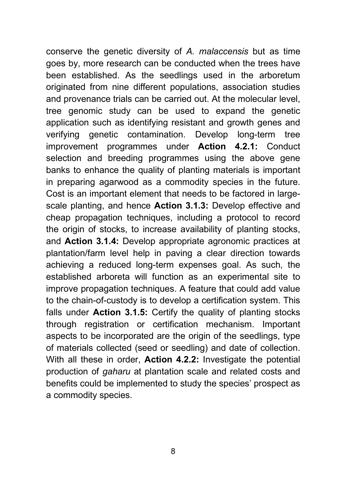conserve the genetic diversity of *A. malaccensis* but as time goes by, more research can be conducted when the trees have been established. As the seedlings used in the arboretum originated from nine different populations, association studies and provenance trials can be carried out. At the molecular level, tree genomic study can be used to expand the genetic application such as identifying resistant and growth genes and verifying genetic contamination. Develop long-term tree improvement programmes under **Action 4.2.1:** Conduct selection and breeding programmes using the above gene banks to enhance the quality of planting materials is important in preparing agarwood as a commodity species in the future. Cost is an important element that needs to be factored in largescale planting, and hence **Action 3.1.3:** Develop effective and cheap propagation techniques, including a protocol to record the origin of stocks, to increase availability of planting stocks, and **Action 3.1.4:** Develop appropriate agronomic practices at plantation/farm level help in paving a clear direction towards achieving a reduced long-term expenses goal. As such, the established arboreta will function as an experimental site to improve propagation techniques. A feature that could add value to the chain-of-custody is to develop a certification system. This falls under **Action 3.1.5:** Certify the quality of planting stocks through registration or certification mechanism. Important aspects to be incorporated are the origin of the seedlings, type of materials collected (seed or seedling) and date of collection. With all these in order, **Action 4.2.2:** Investigate the potential production of *gaharu* at plantation scale and related costs and benefits could be implemented to study the species' prospect as a commodity species.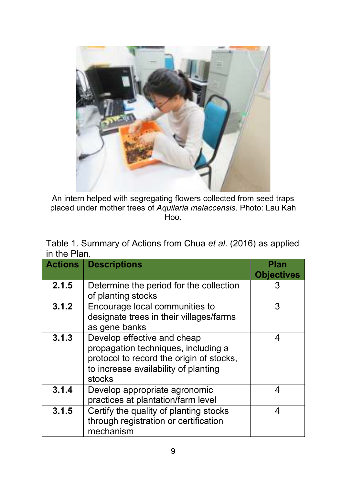

An intern helped with segregating flowers collected from seed traps placed under mother trees of *Aquilaria malaccensis*. Photo: Lau Kah Hoo.

| Table 1. Summary of Actions from Chua et al. (2016) as applied |  |
|----------------------------------------------------------------|--|
| in the Plan.                                                   |  |

| <b>Actions</b> | <b>Descriptions</b>                                                                                                                                              | Plan<br><b>Objectives</b> |
|----------------|------------------------------------------------------------------------------------------------------------------------------------------------------------------|---------------------------|
| 2.1.5          | Determine the period for the collection<br>of planting stocks                                                                                                    | 3                         |
| 3.1.2          | Encourage local communities to<br>designate trees in their villages/farms<br>as gene banks                                                                       | 3                         |
| 3.1.3          | Develop effective and cheap<br>propagation techniques, including a<br>protocol to record the origin of stocks,<br>to increase availability of planting<br>stocks | 4                         |
| 3.1.4          | Develop appropriate agronomic<br>practices at plantation/farm level                                                                                              | Δ                         |
| 3.1.5          | Certify the quality of planting stocks<br>through registration or certification<br>mechanism                                                                     | 4                         |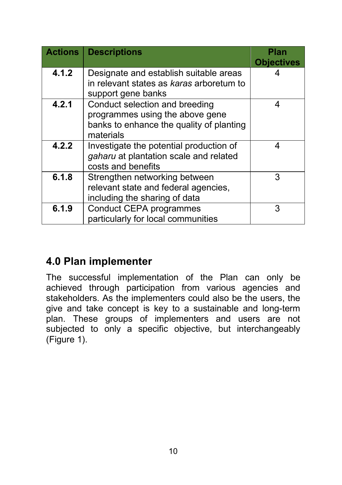| <b>Actions</b> | <b>Descriptions</b>                      | Plan              |
|----------------|------------------------------------------|-------------------|
|                |                                          | <b>Objectives</b> |
| 4.1.2          | Designate and establish suitable areas   |                   |
|                | in relevant states as karas arboretum to |                   |
|                | support gene banks                       |                   |
| 4.2.1          | Conduct selection and breeding           | 4                 |
|                | programmes using the above gene          |                   |
|                | banks to enhance the quality of planting |                   |
|                | materials                                |                   |
| 4.2.2          | Investigate the potential production of  | 4                 |
|                | gaharu at plantation scale and related   |                   |
|                | costs and benefits                       |                   |
| 6.1.8          | Strengthen networking between            | 3                 |
|                | relevant state and federal agencies,     |                   |
|                | including the sharing of data            |                   |
| 6.1.9          | <b>Conduct CEPA programmes</b>           | 3                 |
|                | particularly for local communities       |                   |

#### **4.0 Plan implementer**

The successful implementation of the Plan can only be achieved through participation from various agencies and stakeholders. As the implementers could also be the users, the give and take concept is key to a sustainable and long-term plan. These groups of implementers and users are not subjected to only a specific objective, but interchangeably (Figure 1).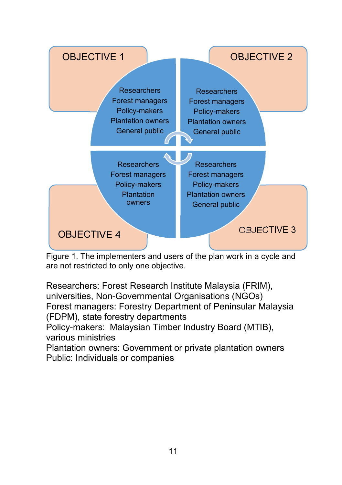

Figure 1. The implementers and users of the plan work in a cycle and are not restricted to only one objective.

Researchers: Forest Research Institute Malaysia (FRIM), universities, Non-Governmental Organisations (NGOs) Forest managers: Forestry Department of Peninsular Malaysia (FDPM), state forestry departments Policy-makers: Malaysian Timber Industry Board (MTIB), various ministries Plantation owners: Government or private plantation owners

Public: Individuals or companies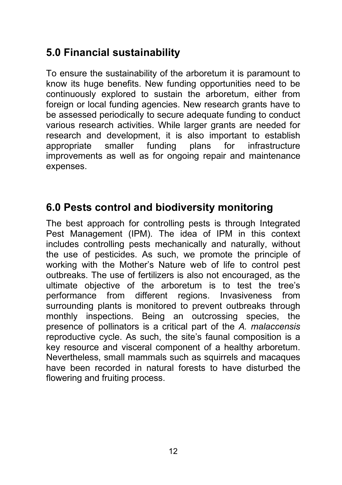#### **5.0 Financial sustainability**

To ensure the sustainability of the arboretum it is paramount to know its huge benefits. New funding opportunities need to be continuously explored to sustain the arboretum, either from foreign or local funding agencies. New research grants have to be assessed periodically to secure adequate funding to conduct various research activities. While larger grants are needed for research and development, it is also important to establish appropriate smaller funding plans for infrastructure improvements as well as for ongoing repair and maintenance expenses.

#### **6.0 Pests control and biodiversity monitoring**

The best approach for controlling pests is through Integrated Pest Management (IPM). The idea of IPM in this context includes controlling pests mechanically and naturally, without the use of pesticides. As such, we promote the principle of working with the Mother's Nature web of life to control pest outbreaks. The use of fertilizers is also not encouraged, as the ultimate objective of the arboretum is to test the tree's performance from different regions. Invasiveness from surrounding plants is monitored to prevent outbreaks through monthly inspections. Being an outcrossing species, the presence of pollinators is a critical part of the *A. malaccensis* reproductive cycle. As such, the site's faunal composition is a key resource and visceral component of a healthy arboretum. Nevertheless, small mammals such as squirrels and macaques have been recorded in natural forests to have disturbed the flowering and fruiting process.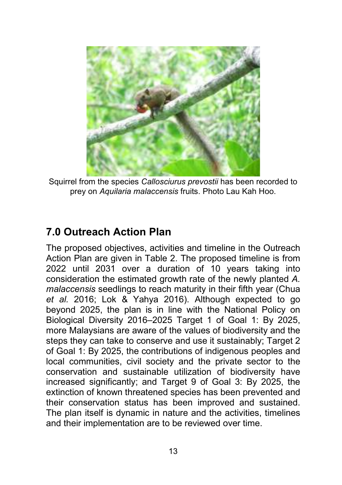

Squirrel from the species *Callosciurus prevostii* has been recorded to prey on *Aquilaria malaccensis* fruits. Photo Lau Kah Hoo.

#### **7.0 Outreach Action Plan**

The proposed objectives, activities and timeline in the Outreach Action Plan are given in Table 2. The proposed timeline is from 2022 until 2031 over a duration of 10 years taking into consideration the estimated growth rate of the newly planted *A. malaccensis* seedlings to reach maturity in their fifth year (Chua *et al.* 2016; Lok & Yahya 2016). Although expected to go beyond 2025, the plan is in line with the National Policy on Biological Diversity 2016–2025 Target 1 of Goal 1: By 2025, more Malaysians are aware of the values of biodiversity and the steps they can take to conserve and use it sustainably; Target 2 of Goal 1: By 2025, the contributions of indigenous peoples and local communities, civil society and the private sector to the conservation and sustainable utilization of biodiversity have increased significantly; and Target 9 of Goal 3: By 2025, the extinction of known threatened species has been prevented and their conservation status has been improved and sustained. The plan itself is dynamic in nature and the activities, timelines and their implementation are to be reviewed over time.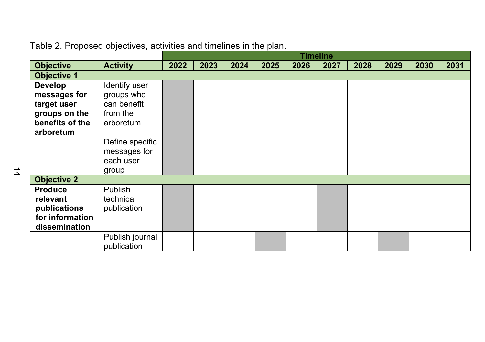|                    |                 |      | <b>Timeline</b><br>2025<br>2023<br>2024<br>2026<br>2028<br>2029<br>2030<br>2027 |  |  |  |  |  |      |
|--------------------|-----------------|------|---------------------------------------------------------------------------------|--|--|--|--|--|------|
| <b>Objective</b>   | <b>Activity</b> | 2022 |                                                                                 |  |  |  |  |  | 2031 |
| <b>Objective 1</b> |                 |      |                                                                                 |  |  |  |  |  |      |
| <b>Develop</b>     | Identify user   |      |                                                                                 |  |  |  |  |  |      |
| messages for       | groups who      |      |                                                                                 |  |  |  |  |  |      |
| target user        | can benefit     |      |                                                                                 |  |  |  |  |  |      |
| groups on the      | from the        |      |                                                                                 |  |  |  |  |  |      |
| benefits of the    | arboretum       |      |                                                                                 |  |  |  |  |  |      |
| arboretum          |                 |      |                                                                                 |  |  |  |  |  |      |
|                    | Define specific |      |                                                                                 |  |  |  |  |  |      |
|                    | messages for    |      |                                                                                 |  |  |  |  |  |      |
|                    | each user       |      |                                                                                 |  |  |  |  |  |      |
|                    | group           |      |                                                                                 |  |  |  |  |  |      |
| <b>Objective 2</b> |                 |      |                                                                                 |  |  |  |  |  |      |
| <b>Produce</b>     | Publish         |      |                                                                                 |  |  |  |  |  |      |
| relevant           | technical       |      |                                                                                 |  |  |  |  |  |      |
| publications       | publication     |      |                                                                                 |  |  |  |  |  |      |
| for information    |                 |      |                                                                                 |  |  |  |  |  |      |
| dissemination      |                 |      |                                                                                 |  |  |  |  |  |      |
|                    | Publish journal |      |                                                                                 |  |  |  |  |  |      |
|                    | publication     |      |                                                                                 |  |  |  |  |  |      |

#### Table 2. Proposed objectives, activities and timelines in the plan.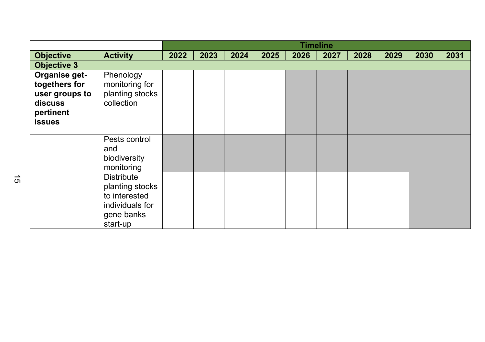|                                                                                           |                                                                                                    |      |      |      |      |      | <b>Timeline</b> |      |      |      |      |
|-------------------------------------------------------------------------------------------|----------------------------------------------------------------------------------------------------|------|------|------|------|------|-----------------|------|------|------|------|
| <b>Objective</b>                                                                          | <b>Activity</b>                                                                                    | 2022 | 2023 | 2024 | 2025 | 2026 | 2027            | 2028 | 2029 | 2030 | 2031 |
| <b>Objective 3</b>                                                                        |                                                                                                    |      |      |      |      |      |                 |      |      |      |      |
| Organise get-<br>togethers for<br>user groups to<br>discuss<br>pertinent<br><b>issues</b> | Phenology<br>monitoring for<br>planting stocks<br>collection                                       |      |      |      |      |      |                 |      |      |      |      |
|                                                                                           | Pests control                                                                                      |      |      |      |      |      |                 |      |      |      |      |
|                                                                                           | and                                                                                                |      |      |      |      |      |                 |      |      |      |      |
|                                                                                           | biodiversity                                                                                       |      |      |      |      |      |                 |      |      |      |      |
|                                                                                           | monitoring                                                                                         |      |      |      |      |      |                 |      |      |      |      |
|                                                                                           | <b>Distribute</b><br>planting stocks<br>to interested<br>individuals for<br>gene banks<br>start-up |      |      |      |      |      |                 |      |      |      |      |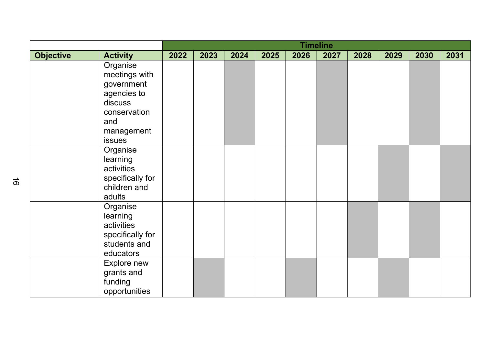|                  |                                                                                                                  |      | <b>Timeline</b><br>2026<br>2023<br>2024<br>2025<br>2027<br>2028<br>2029<br>2030<br>2031 |  |  |  |  |  |  |  |  |
|------------------|------------------------------------------------------------------------------------------------------------------|------|-----------------------------------------------------------------------------------------|--|--|--|--|--|--|--|--|
| <b>Objective</b> | <b>Activity</b>                                                                                                  | 2022 |                                                                                         |  |  |  |  |  |  |  |  |
|                  | Organise<br>meetings with<br>government<br>agencies to<br>discuss<br>conservation<br>and<br>management<br>issues |      |                                                                                         |  |  |  |  |  |  |  |  |
|                  | Organise<br>learning<br>activities<br>specifically for<br>children and<br>adults                                 |      |                                                                                         |  |  |  |  |  |  |  |  |
|                  | Organise<br>learning<br>activities<br>specifically for<br>students and<br>educators                              |      |                                                                                         |  |  |  |  |  |  |  |  |
|                  | Explore new<br>grants and<br>funding<br>opportunities                                                            |      |                                                                                         |  |  |  |  |  |  |  |  |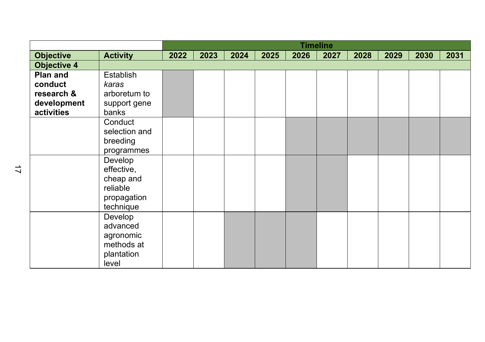|                    |                 |      |      |      |      |      | <b>Timeline</b> |      |      |      |      |
|--------------------|-----------------|------|------|------|------|------|-----------------|------|------|------|------|
| <b>Objective</b>   | <b>Activity</b> | 2022 | 2023 | 2024 | 2025 | 2026 | 2027            | 2028 | 2029 | 2030 | 2031 |
| <b>Objective 4</b> |                 |      |      |      |      |      |                 |      |      |      |      |
| Plan and           | Establish       |      |      |      |      |      |                 |      |      |      |      |
| conduct            | karas           |      |      |      |      |      |                 |      |      |      |      |
| research &         | arboretum to    |      |      |      |      |      |                 |      |      |      |      |
| development        | support gene    |      |      |      |      |      |                 |      |      |      |      |
| activities         | banks           |      |      |      |      |      |                 |      |      |      |      |
|                    | Conduct         |      |      |      |      |      |                 |      |      |      |      |
|                    | selection and   |      |      |      |      |      |                 |      |      |      |      |
|                    | breeding        |      |      |      |      |      |                 |      |      |      |      |
|                    | programmes      |      |      |      |      |      |                 |      |      |      |      |
|                    | Develop         |      |      |      |      |      |                 |      |      |      |      |
|                    | effective,      |      |      |      |      |      |                 |      |      |      |      |
|                    | cheap and       |      |      |      |      |      |                 |      |      |      |      |
|                    | reliable        |      |      |      |      |      |                 |      |      |      |      |
|                    | propagation     |      |      |      |      |      |                 |      |      |      |      |
|                    | technique       |      |      |      |      |      |                 |      |      |      |      |
|                    | Develop         |      |      |      |      |      |                 |      |      |      |      |
|                    | advanced        |      |      |      |      |      |                 |      |      |      |      |
|                    | agronomic       |      |      |      |      |      |                 |      |      |      |      |
|                    | methods at      |      |      |      |      |      |                 |      |      |      |      |
|                    | plantation      |      |      |      |      |      |                 |      |      |      |      |
|                    | level           |      |      |      |      |      |                 |      |      |      |      |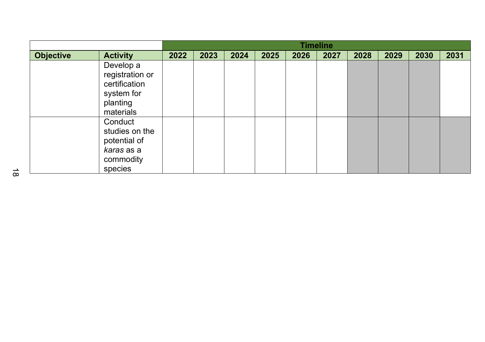|                  |                                                                                        |      | <b>Timeline</b> |      |      |      |      |      |      |      |      |
|------------------|----------------------------------------------------------------------------------------|------|-----------------|------|------|------|------|------|------|------|------|
| <b>Objective</b> | <b>Activity</b>                                                                        | 2022 | 2023            | 2024 | 2025 | 2026 | 2027 | 2028 | 2029 | 2030 | 2031 |
|                  | Develop a<br>registration or<br>certification<br>system for<br>planting<br>materials   |      |                 |      |      |      |      |      |      |      |      |
|                  | Conduct<br>studies on the<br>potential of<br><i>karas</i> as a<br>commodity<br>species |      |                 |      |      |      |      |      |      |      |      |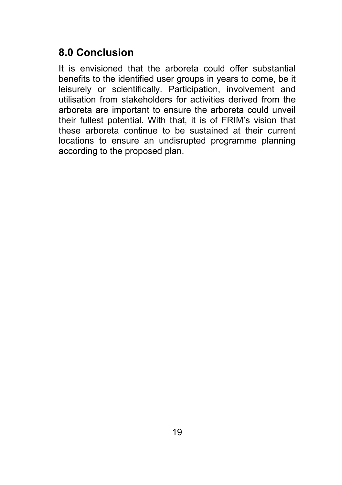#### **8.0 Conclusion**

It is envisioned that the arboreta could offer substantial benefits to the identified user groups in years to come, be it leisurely or scientifically. Participation, involvement and utilisation from stakeholders for activities derived from the arboreta are important to ensure the arboreta could unveil their fullest potential. With that, it is of FRIM's vision that these arboreta continue to be sustained at their current locations to ensure an undisrupted programme planning according to the proposed plan.